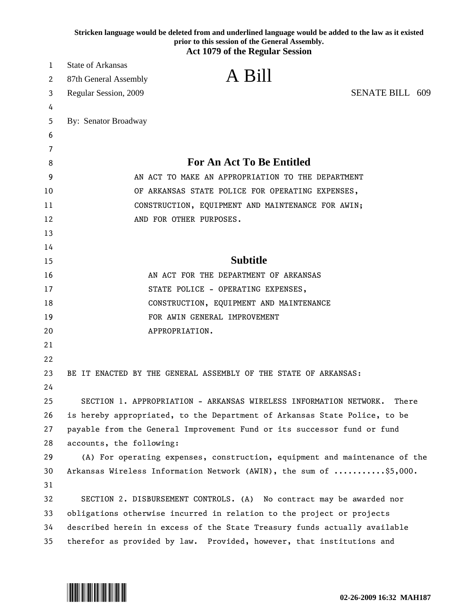|        | Stricken language would be deleted from and underlined language would be added to the law as it existed<br>prior to this session of the General Assembly.<br><b>Act 1079 of the Regular Session</b> |  |
|--------|-----------------------------------------------------------------------------------------------------------------------------------------------------------------------------------------------------|--|
| 1      | <b>State of Arkansas</b>                                                                                                                                                                            |  |
|        | A Bill                                                                                                                                                                                              |  |
| 2      | 87th General Assembly<br><b>SENATE BILL 609</b>                                                                                                                                                     |  |
| 3      | Regular Session, 2009                                                                                                                                                                               |  |
| 4<br>5 | By: Senator Broadway                                                                                                                                                                                |  |
| 6      |                                                                                                                                                                                                     |  |
| 7      |                                                                                                                                                                                                     |  |
| 8      | <b>For An Act To Be Entitled</b>                                                                                                                                                                    |  |
| 9      | AN ACT TO MAKE AN APPROPRIATION TO THE DEPARTMENT                                                                                                                                                   |  |
| 10     | OF ARKANSAS STATE POLICE FOR OPERATING EXPENSES,                                                                                                                                                    |  |
| 11     | CONSTRUCTION, EQUIPMENT AND MAINTENANCE FOR AWIN;                                                                                                                                                   |  |
| 12     | AND FOR OTHER PURPOSES.                                                                                                                                                                             |  |
| 13     |                                                                                                                                                                                                     |  |
| 14     |                                                                                                                                                                                                     |  |
| 15     | <b>Subtitle</b>                                                                                                                                                                                     |  |
| 16     | AN ACT FOR THE DEPARTMENT OF ARKANSAS                                                                                                                                                               |  |
| 17     | STATE POLICE - OPERATING EXPENSES,                                                                                                                                                                  |  |
| 18     | CONSTRUCTION, EQUIPMENT AND MAINTENANCE                                                                                                                                                             |  |
| 19     | FOR AWIN GENERAL IMPROVEMENT                                                                                                                                                                        |  |
| 20     | APPROPRIATION.                                                                                                                                                                                      |  |
| 21     |                                                                                                                                                                                                     |  |
| 22     |                                                                                                                                                                                                     |  |
| 23     | BE IT ENACTED BY THE GENERAL ASSEMBLY OF THE STATE OF ARKANSAS:                                                                                                                                     |  |
| 24     |                                                                                                                                                                                                     |  |
| 25     | SECTION 1. APPROPRIATION - ARKANSAS WIRELESS INFORMATION NETWORK.<br>There                                                                                                                          |  |
| 26     | is hereby appropriated, to the Department of Arkansas State Police, to be                                                                                                                           |  |
| 27     | payable from the General Improvement Fund or its successor fund or fund                                                                                                                             |  |
| 28     | accounts, the following:                                                                                                                                                                            |  |
| 29     | (A) For operating expenses, construction, equipment and maintenance of the                                                                                                                          |  |
| 30     | Arkansas Wireless Information Network (AWIN), the sum of \$5,000.                                                                                                                                   |  |
| 31     |                                                                                                                                                                                                     |  |
| 32     | SECTION 2. DISBURSEMENT CONTROLS. (A) No contract may be awarded nor                                                                                                                                |  |
| 33     | obligations otherwise incurred in relation to the project or projects                                                                                                                               |  |
| 34     | described herein in excess of the State Treasury funds actually available                                                                                                                           |  |
| 35     | therefor as provided by law. Provided, however, that institutions and                                                                                                                               |  |